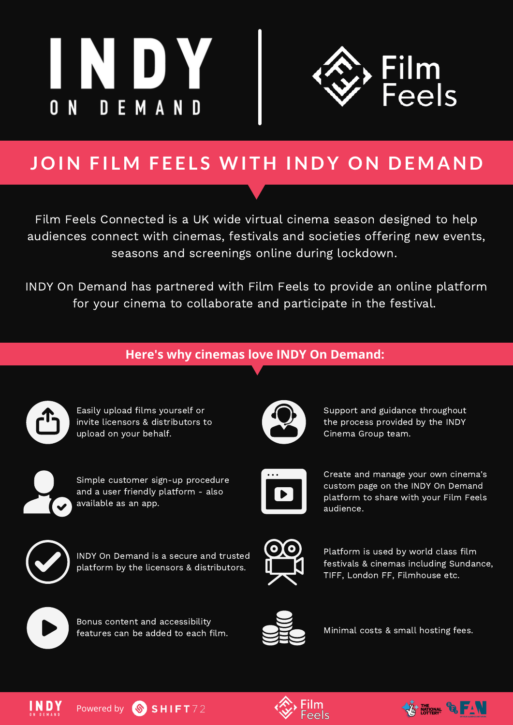



# **JOI N F I LM F E E L S WI T H I N D Y ON D E MA N D**

Film Feels Connected is a UK wide virtual cinema season designed to help audiences connect with cinemas, festivals and societies offering new events, seasons and screenings online during lockdown.

INDY On Demand has partnered with Film Feels to provide an online platform for your cinema to collaborate and participate in the festival.

#### **Here's why cinemas love INDY On Demand:**



Easily upload films yourself or invite licensors & distributors to upload on your behalf.



Simple customer sign-up procedure and a user friendly platform - also available as an app.



INDY On Demand is a secure and trusted platform by the licensors & distributors.



Support and guidance throughout the process provided by the INDY Cinema Group team.



Create and manage your own cinema's custom page on the INDY On Demand platform to share with your Film Feels audience.



Platform is used by world class film festivals & cinemas including Sundance, TIFF, London FF, Filmhouse etc.



Bonus content and accessibility features can be added to each film.



Minimal costs & small hosting fees.





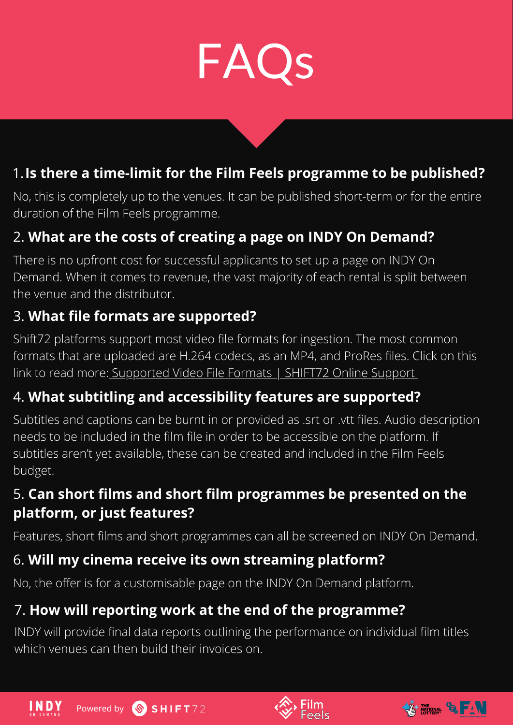

### 1.**Is there a time-limit for the Film Feels programme to be published?**

No, this is completely up to the venues. It can be published short-term or for the entire duration of the Film Feels programme.

### 2. **What are the costs of creating a page on INDY On Demand?**

There is no upfront cost for successful applicants to set up a page on INDY On Demand. When it comes to revenue, the vast majority of each rental is split between the venue and the distributor.

#### 3. **What file formats are supported?**

Shift72 platforms support most video file formats for ingestion. The most common formats that are uploaded are H.264 codecs, as an MP4, and ProRes files. Click on this link to read more: [Supported](https://docs.shift72.com/en/articles/1133255-supported-video-file-formats) Video File Formats | SHIFT72 Online Support

#### 4. **What subtitling and accessibility features are supported?**

Subtitles and captions can be burnt in or provided as .srt or .vtt files. Audio description needs to be included in the film file in order to be accessible on the platform. If subtitles aren't yet available, these can be created and included in the Film Feels budget.

#### 5. **Can short films and short film programmes be presented on the platform, or just features?**

Features, short films and short programmes can all be screened on INDY On Demand.

#### 6. **Will my cinema receive its own streaming platform?**

No, the offer is for a customisable page on the INDY On Demand platform.

### 7. **How will reporting work at the end of the programme?**

INDY will provide final data reports outlining the performance on individual film titles which venues can then build their invoices on.